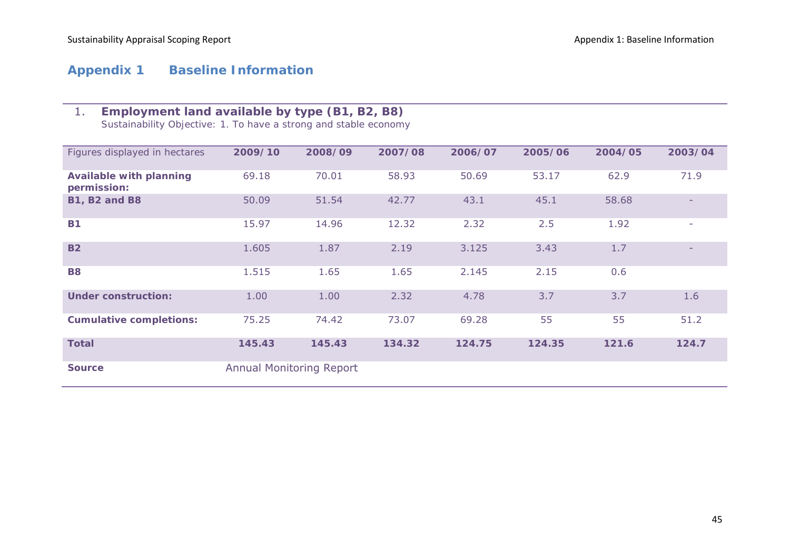# **Appendix 1 Baseline Information**

# 1. **Employment land available by type (B1, B2, B8)**

*Sustainability Objective: 1. To have a strong and stable economy*

| Figures displayed in hectares                 | 2009/10                         | 2008/09 | 2007/08 | 2006/07 | 2005/06 | 2004/05 | 2003/04 |
|-----------------------------------------------|---------------------------------|---------|---------|---------|---------|---------|---------|
| <b>Available with planning</b><br>permission: | 69.18                           | 70.01   | 58.93   | 50.69   | 53.17   | 62.9    | 71.9    |
| <b>B1, B2 and B8</b>                          | 50.09                           | 51.54   | 42.77   | 43.1    | 45.1    | 58.68   |         |
| <b>B1</b>                                     | 15.97                           | 14.96   | 12.32   | 2.32    | 2.5     | 1.92    |         |
| <b>B2</b>                                     | 1.605                           | 1.87    | 2.19    | 3.125   | 3.43    | 1.7     |         |
| <b>B8</b>                                     | 1.515                           | 1.65    | 1.65    | 2.145   | 2.15    | 0.6     |         |
| <b>Under construction:</b>                    | 1.00                            | 1.00    | 2.32    | 4.78    | 3.7     | 3.7     | 1.6     |
| <b>Cumulative completions:</b>                | 75.25                           | 74.42   | 73.07   | 69.28   | 55      | 55      | 51.2    |
| <b>Total</b>                                  | 145.43                          | 145.43  | 134.32  | 124.75  | 124.35  | 121.6   | 124.7   |
| <b>Source</b>                                 | <b>Annual Monitoring Report</b> |         |         |         |         |         |         |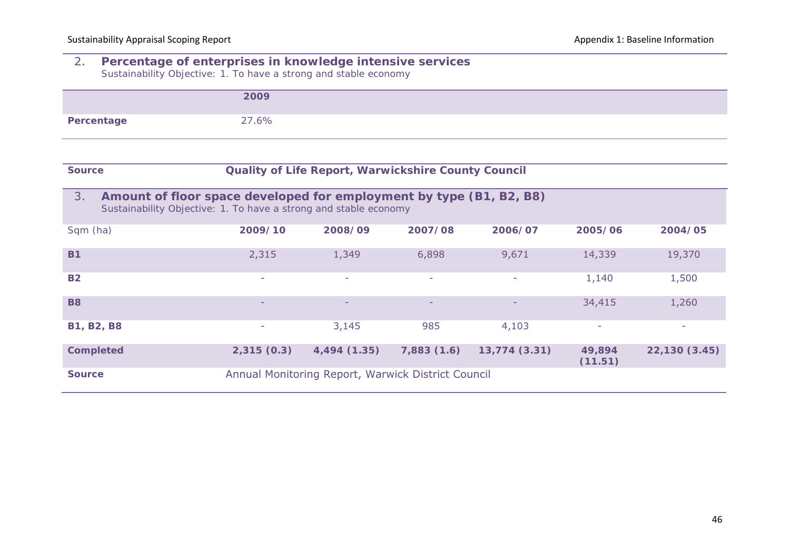#### 2. **Percentage of enterprises in knowledge intensive services**  *Sustainability Objective: 1. To have a strong and stable economy*

|            | 2009  |
|------------|-------|
| Percentage | 27.6% |

| <b>Source</b> |
|---------------|
|---------------|

#### **Quality of Life Report, Warwickshire County Council**

| 3.<br>Amount of floor space developed for employment by type (B1, B2, B8)<br>Sustainability Objective: 1. To have a strong and stable economy |            |                                                    |                          |              |                          |               |
|-----------------------------------------------------------------------------------------------------------------------------------------------|------------|----------------------------------------------------|--------------------------|--------------|--------------------------|---------------|
| Sqm (ha)                                                                                                                                      | 2009/10    | 2008/09                                            | 2007/08                  | 2006/07      | 2005/06                  | 2004/05       |
| <b>B1</b>                                                                                                                                     | 2,315      | 1,349                                              | 6,898                    | 9,671        | 14,339                   | 19,370        |
| <b>B2</b>                                                                                                                                     | ٠          | -                                                  | $\overline{\phantom{a}}$ | $\sim$       | 1,140                    | 1,500         |
| <b>B8</b>                                                                                                                                     | -          | -                                                  | $\qquad \qquad$          |              | 34,415                   | 1,260         |
| <b>B1, B2, B8</b>                                                                                                                             | ۰          | 3,145                                              | 985                      | 4,103        | $\overline{\phantom{a}}$ |               |
| <b>Completed</b>                                                                                                                              | 2,315(0.3) | 4,494 (1.35)                                       | 7,883(1.6)               | 13,774(3.31) | 49,894<br>(11.51)        | 22,130 (3.45) |
| <b>Source</b>                                                                                                                                 |            | Annual Monitoring Report, Warwick District Council |                          |              |                          |               |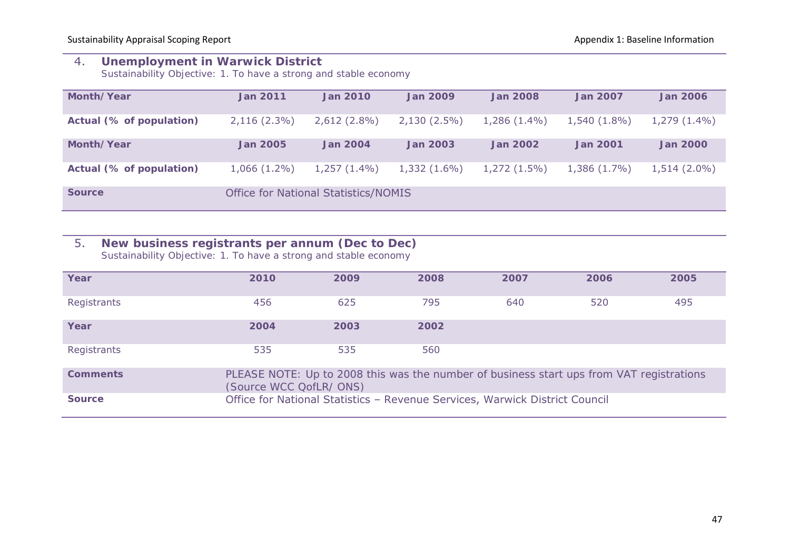## 4. **Unemployment in Warwick District**

*Sustainability Objective: 1. To have a strong and stable economy*

| Month/Year               | <b>Jan 2011</b> | <b>Jan 2010</b>                             | <b>Jan 2009</b> | <b>Jan 2008</b> | <b>Jan 2007</b> | <b>Jan 2006</b> |
|--------------------------|-----------------|---------------------------------------------|-----------------|-----------------|-----------------|-----------------|
| Actual (% of population) | $2,116(2.3\%)$  | $2,612(2.8\%)$                              | $2,130(2.5\%)$  | $1,286(1.4\%)$  | $1,540(1.8\%)$  | $1,279(1.4\%)$  |
| Month/Year               | <b>Jan 2005</b> | <b>Jan 2004</b>                             | <b>Jan 2003</b> | <b>Jan 2002</b> | <b>Jan 2001</b> | <b>Jan 2000</b> |
| Actual (% of population) | $1,066(1.2\%)$  | $1,257(1.4\%)$                              | $1,332(1.6\%)$  | $1,272(1.5\%)$  | 1,386 (1.7%)    | $1,514(2.0\%)$  |
| <b>Source</b>            |                 | <b>Office for National Statistics/NOMIS</b> |                 |                 |                 |                 |

# 5. **New business registrants per annum (Dec to Dec)**

*Sustainability Objective: 1. To have a strong and stable economy*

| Year            | 2010                    | 2009 | 2008                                                                                     | 2007 | 2006 | 2005 |
|-----------------|-------------------------|------|------------------------------------------------------------------------------------------|------|------|------|
| Registrants     | 456                     | 625  | 795                                                                                      | 640  | 520  | 495  |
| Year            | 2004                    | 2003 | 2002                                                                                     |      |      |      |
| Registrants     | 535                     | 535  | 560                                                                                      |      |      |      |
| <b>Comments</b> | (Source WCC QofLR/ ONS) |      | PLEASE NOTE: Up to 2008 this was the number of business start ups from VAT registrations |      |      |      |
| <b>Source</b>   |                         |      | Office for National Statistics - Revenue Services, Warwick District Council              |      |      |      |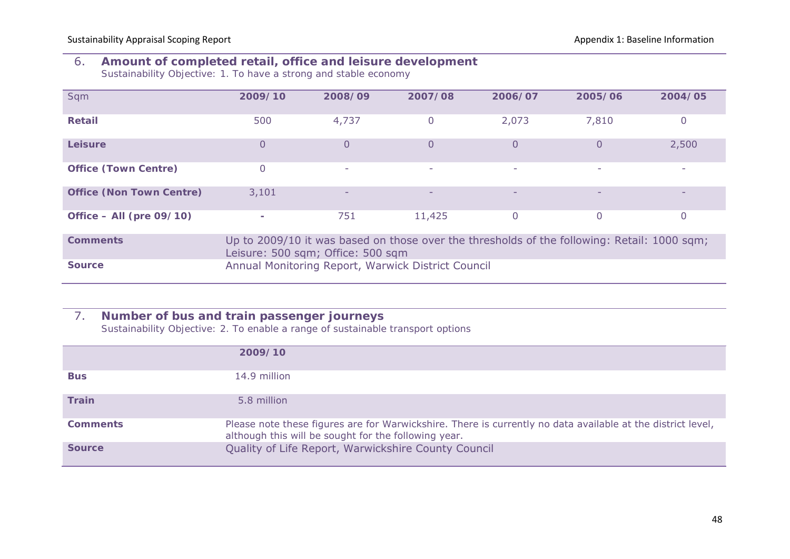## 6. **Amount of completed retail, office and leisure development**

*Sustainability Objective: 1. To have a strong and stable economy*

| Sqm                             | 2009/10                                                                                                                          | 2008/09                                            | 2007/08         | 2006/07                  | 2005/06         | 2004/05 |  |  |
|---------------------------------|----------------------------------------------------------------------------------------------------------------------------------|----------------------------------------------------|-----------------|--------------------------|-----------------|---------|--|--|
| <b>Retail</b>                   | 500                                                                                                                              | 4,737                                              | $\overline{0}$  | 2,073                    | 7,810           |         |  |  |
| Leisure                         | 0                                                                                                                                | 0                                                  | 0               | 0                        | 0               | 2,500   |  |  |
| <b>Office (Town Centre)</b>     | 0                                                                                                                                | ٠                                                  | ٠               | ۰                        | ۰               |         |  |  |
| <b>Office (Non Town Centre)</b> | 3,101                                                                                                                            | $\overline{\phantom{a}}$                           | $\qquad \qquad$ | $\overline{\phantom{0}}$ | $\qquad \qquad$ |         |  |  |
| Office $-$ All (pre 09/10)      | $\sim$                                                                                                                           | 751                                                | 11,425          | 0                        | 0               |         |  |  |
| <b>Comments</b>                 | Up to 2009/10 it was based on those over the thresholds of the following: Retail: 1000 sqm;<br>Leisure: 500 sqm; Office: 500 sqm |                                                    |                 |                          |                 |         |  |  |
| <b>Source</b>                   |                                                                                                                                  | Annual Monitoring Report, Warwick District Council |                 |                          |                 |         |  |  |

## 7. **Number of bus and train passenger journeys**

*Sustainability Objective: 2. To enable a range of sustainable transport options*

|                 | 2009/10                                                                                                                                                             |
|-----------------|---------------------------------------------------------------------------------------------------------------------------------------------------------------------|
| <b>Bus</b>      | 14.9 million                                                                                                                                                        |
| <b>Train</b>    | 5.8 million                                                                                                                                                         |
| <b>Comments</b> | Please note these figures are for Warwickshire. There is currently no data available at the district level,<br>although this will be sought for the following year. |
| <b>Source</b>   | Quality of Life Report, Warwickshire County Council                                                                                                                 |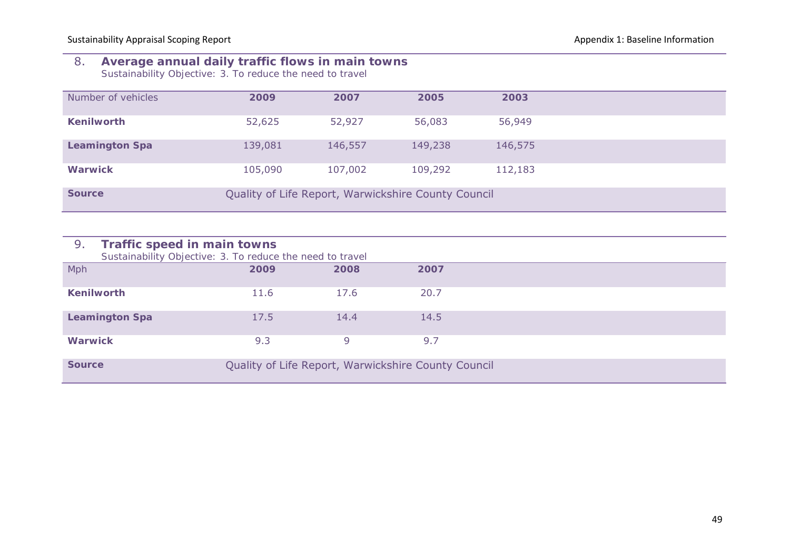#### 8. **Average annual daily traffic flows in main towns** *Sustainability Objective: 3. To reduce the need to travel*

| Number of vehicles    | 2009    | 2007    | 2005                                                | 2003    |  |
|-----------------------|---------|---------|-----------------------------------------------------|---------|--|
| <b>Kenilworth</b>     | 52,625  | 52,927  | 56,083                                              | 56,949  |  |
| <b>Leamington Spa</b> | 139,081 | 146,557 | 149,238                                             | 146,575 |  |
| <b>Warwick</b>        | 105,090 | 107,002 | 109,292                                             | 112,183 |  |
| <b>Source</b>         |         |         | Quality of Life Report, Warwickshire County Council |         |  |

| 9.<br>Traffic speed in main towns<br>Sustainability Objective: 3. To reduce the need to travel |      |      |                                                     |  |
|------------------------------------------------------------------------------------------------|------|------|-----------------------------------------------------|--|
| Mph                                                                                            | 2009 | 2008 | 2007                                                |  |
| <b>Kenilworth</b>                                                                              | 11.6 | 17.6 | 20.7                                                |  |
| <b>Leamington Spa</b>                                                                          | 17.5 | 14.4 | 14.5                                                |  |
| <b>Warwick</b>                                                                                 | 9.3  | 9    | 9.7                                                 |  |
| <b>Source</b>                                                                                  |      |      | Quality of Life Report, Warwickshire County Council |  |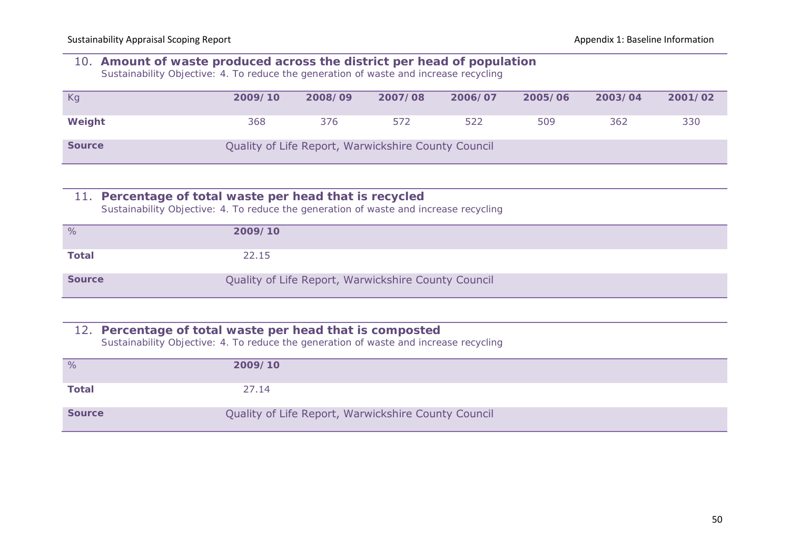# 10. **Amount of waste produced across the district per head of population**

*Sustainability Objective: 4. To reduce the generation of waste and increase recycling*

| Kg            | 2009/10 | 2008/09 | 2007/08                                             | 2006/07 | 2005/06 | 2003/04 | 2001/02 |
|---------------|---------|---------|-----------------------------------------------------|---------|---------|---------|---------|
| Weight        | 368     | 376     | 572                                                 | 522     | 509     | 362     | 330     |
| <b>Source</b> |         |         | Quality of Life Report, Warwickshire County Council |         |         |         |         |

#### 11. **Percentage of total waste per head that is recycled** *Sustainability Objective: 4. To reduce the generation of waste and increase recycling*

| %             | 2009/10                                             |
|---------------|-----------------------------------------------------|
| <b>Total</b>  | 22.15                                               |
| <b>Source</b> | Quality of Life Report, Warwickshire County Council |

#### 12. **Percentage of total waste per head that is composted**

*Sustainability Objective: 4. To reduce the generation of waste and increase recycling*

| %             | 2009/10                                             |
|---------------|-----------------------------------------------------|
| <b>Total</b>  | 27.14                                               |
| <b>Source</b> | Quality of Life Report, Warwickshire County Council |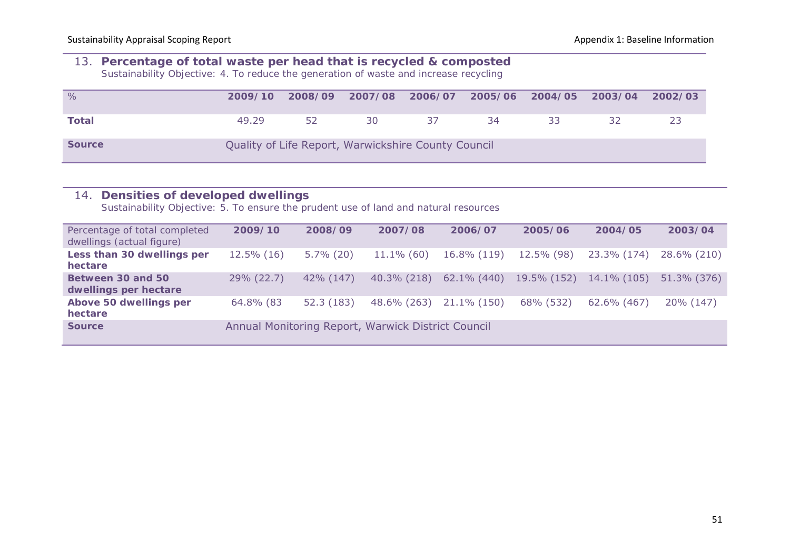#### 13. **Percentage of total waste per head that is recycled & composted**

*Sustainability Objective: 4. To reduce the generation of waste and increase recycling*

| %             | 2009/10 |    | 2008/09 2007/08                                     |    | 2006/07 2005/06 2004/05 2003/04 |    | 2002/03 |
|---------------|---------|----|-----------------------------------------------------|----|---------------------------------|----|---------|
| Total         | 49.29   | 52 | 30                                                  | 37 | 34                              | 33 |         |
| <b>Source</b> |         |    | Quality of Life Report, Warwickshire County Council |    |                                 |    |         |

| Densities of developed dwellings<br>14.<br>Sustainability Objective: 5. To ensure the prudent use of land and natural resources |               |              |                                                    |             |             |                |             |
|---------------------------------------------------------------------------------------------------------------------------------|---------------|--------------|----------------------------------------------------|-------------|-------------|----------------|-------------|
| Percentage of total completed<br>dwellings (actual figure)                                                                      | 2009/10       | 2008/09      | 2007/08                                            | 2006/07     | 2005/06     | 2004/05        | 2003/04     |
| Less than 30 dwellings per<br>hectare                                                                                           | $12.5\%$ (16) | $5.7\%$ (20) | $11.1\%$ (60)                                      | 16.8% (119) | 12.5% (98)  | 23.3% (174)    | 28.6% (210) |
| Between 30 and 50<br>dwellings per hectare                                                                                      | 29% (22.7)    | 42% (147)    | 40.3% (218)                                        | 62.1% (440) | 19.5% (152) | $14.1\%$ (105) | 51.3% (376) |
| Above 50 dwellings per<br>hectare                                                                                               | 64.8% (83     | 52.3 (183)   | 48.6% (263)                                        | 21.1% (150) | 68% (532)   | 62.6% (467)    | 20% (147)   |
| <b>Source</b>                                                                                                                   |               |              | Annual Monitoring Report, Warwick District Council |             |             |                |             |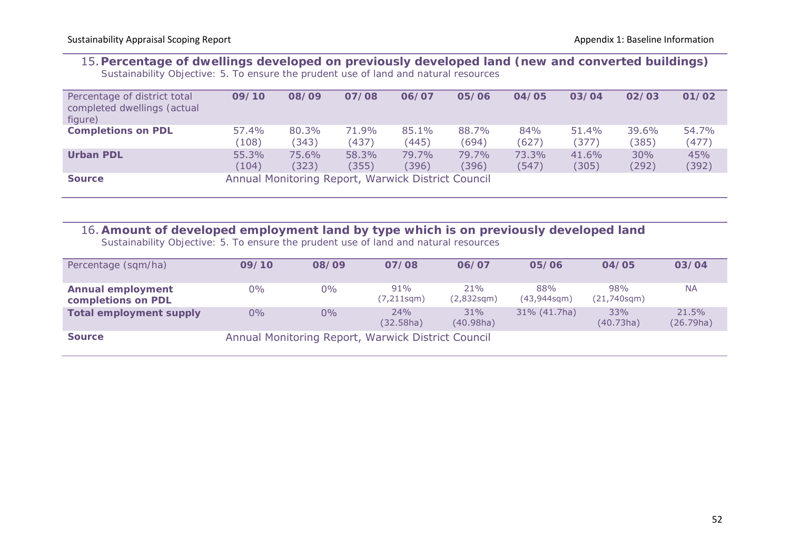#### 15.**Percentage of dwellings developed on previously developed land (new and converted buildings)** *Sustainability Objective: 5. To ensure the prudent use of land and natural resources*

| Percentage of district total<br>completed dwellings (actual<br>figure) | 09/10 | 08/09 | 07/08                                              | 06/07 | 05/06 | 04/05 | 03/04 | 02/03 | 01/02 |
|------------------------------------------------------------------------|-------|-------|----------------------------------------------------|-------|-------|-------|-------|-------|-------|
| <b>Completions on PDL</b>                                              | 57.4% | 80.3% | 71.9%                                              | 85.1% | 88.7% | 84%   | 51.4% | 39.6% | 54.7% |
|                                                                        | (108) | (343) | (437)                                              | (445) | (694) | (627) | (377) | (385) | (477) |
| <b>Urban PDL</b>                                                       | 55.3% | 75.6% | 58.3%                                              | 79.7% | 79.7% | 73.3% | 41.6% | 30%   | 45%   |
|                                                                        | (104) | (323) | (355)                                              | (396) | (396) | (547) | (305) | (292) | (392) |
| <b>Source</b>                                                          |       |       | Annual Monitoring Report, Warwick District Council |       |       |       |       |       |       |

# 16. **Amount of developed employment land by type which is on previously developed land**

*Sustainability Objective: 5. To ensure the prudent use of land and natural resources*

| Percentage (sqm/ha)                            | 09/10 | 08/09 | 07/08                                              | 06/07             | 05/06                    | 04/05                    | 03/04              |
|------------------------------------------------|-------|-------|----------------------------------------------------|-------------------|--------------------------|--------------------------|--------------------|
| <b>Annual employment</b><br>completions on PDL | $0\%$ | $0\%$ | 91%<br>$(7, 211$ sqm $)$                           | 21%<br>(2,832sgm) | 88%<br>$(43,944$ sqm $)$ | 98%<br>$(21,740$ sqm $)$ | <b>NA</b>          |
| <b>Total employment supply</b>                 | $0\%$ | $0\%$ | 24%<br>(32.58ha)                                   | 31%<br>(40.98ha)  | $31\% (41.7ha)$          | 33%<br>(40.73ha)         | 21.5%<br>(26.79ha) |
| <b>Source</b>                                  |       |       | Annual Monitoring Report, Warwick District Council |                   |                          |                          |                    |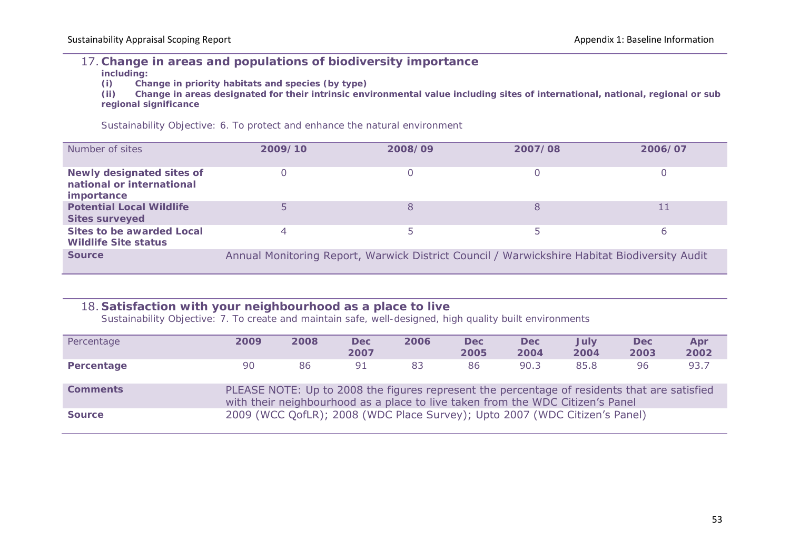## 17. **Change in areas and populations of biodiversity importance**

**including:**

**(i) Change in priority habitats and species (by type)**

**(ii) Change in areas designated for their intrinsic environmental value including sites of international, national, regional or sub regional significance**

*Sustainability Objective: 6. To protect and enhance the natural environment*

| Number of sites                                                                    | 2009/10 | 2008/09 | 2007/08                                                                                      | 2006/07 |
|------------------------------------------------------------------------------------|---------|---------|----------------------------------------------------------------------------------------------|---------|
| <b>Newly designated sites of</b><br>national or international<br><i>importance</i> |         |         |                                                                                              |         |
| <b>Potential Local Wildlife</b><br><b>Sites surveyed</b>                           |         |         |                                                                                              |         |
| Sites to be awarded Local<br><b>Wildlife Site status</b>                           | 4       |         |                                                                                              | 6       |
| <b>Source</b>                                                                      |         |         | Annual Monitoring Report, Warwick District Council / Warwickshire Habitat Biodiversity Audit |         |

# 18. **Satisfaction with your neighbourhood as a place to live**

*Sustainability Objective: 7. To create and maintain safe, well-designed, high quality built environments*

| Percentage      | 2009 | 2008 | Dec:<br>2007 | 2006                                                                                                                                                                           | <b>Dec</b><br>2005 | <b>Dec</b><br>2004 | July<br>2004 | <b>Dec</b><br>2003 | Apr<br>2002 |
|-----------------|------|------|--------------|--------------------------------------------------------------------------------------------------------------------------------------------------------------------------------|--------------------|--------------------|--------------|--------------------|-------------|
| Percentage      | 90   | 86   | 91           | 83                                                                                                                                                                             | 86                 | 90.3               | 85.8         | 96                 | 93.7        |
| <b>Comments</b> |      |      |              | PLEASE NOTE: Up to 2008 the figures represent the percentage of residents that are satisfied<br>with their neighbourhood as a place to live taken from the WDC Citizen's Panel |                    |                    |              |                    |             |
| <b>Source</b>   |      |      |              | 2009 (WCC QofLR); 2008 (WDC Place Survey); Upto 2007 (WDC Citizen's Panel)                                                                                                     |                    |                    |              |                    |             |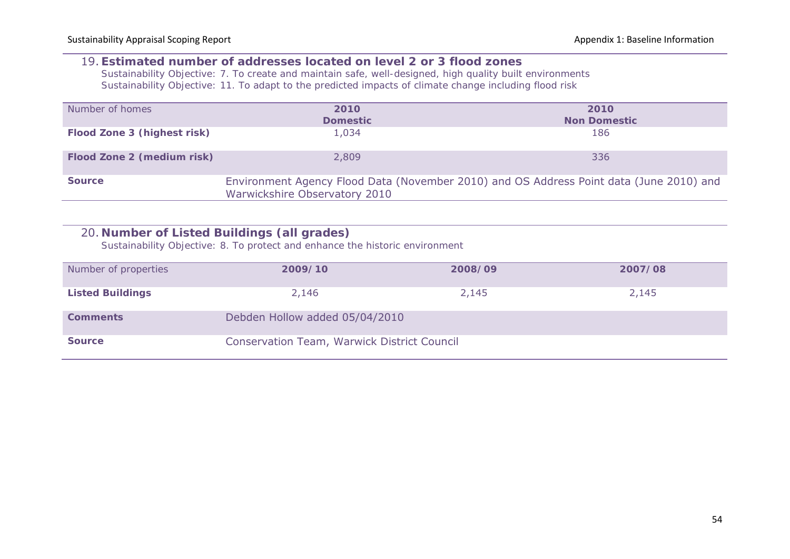#### 19. **Estimated number of addresses located on level 2 or 3 flood zones**

*Sustainability Objective: 7. To create and maintain safe, well-designed, high quality built environments Sustainability Objective: 11. To adapt to the predicted impacts of climate change including flood risk*

| Number of homes             | 2010<br><b>Domestic</b>       | 2010<br><b>Non Domestic</b>                                                             |
|-----------------------------|-------------------------------|-----------------------------------------------------------------------------------------|
| Flood Zone 3 (highest risk) | 1,034                         | 186                                                                                     |
| Flood Zone 2 (medium risk)  | 2,809                         | 336                                                                                     |
| <b>Source</b>               | Warwickshire Observatory 2010 | Environment Agency Flood Data (November 2010) and OS Address Point data (June 2010) and |

## 20. **Number of Listed Buildings (all grades)**

*Sustainability Objective: 8. To protect and enhance the historic environment*

| Number of properties    | 2009/10                                     | 2008/09 | 2007/08 |
|-------------------------|---------------------------------------------|---------|---------|
| <b>Listed Buildings</b> | 2,146                                       | 2,145   | 2,145   |
| <b>Comments</b>         | Debden Hollow added 05/04/2010              |         |         |
| <b>Source</b>           | Conservation Team, Warwick District Council |         |         |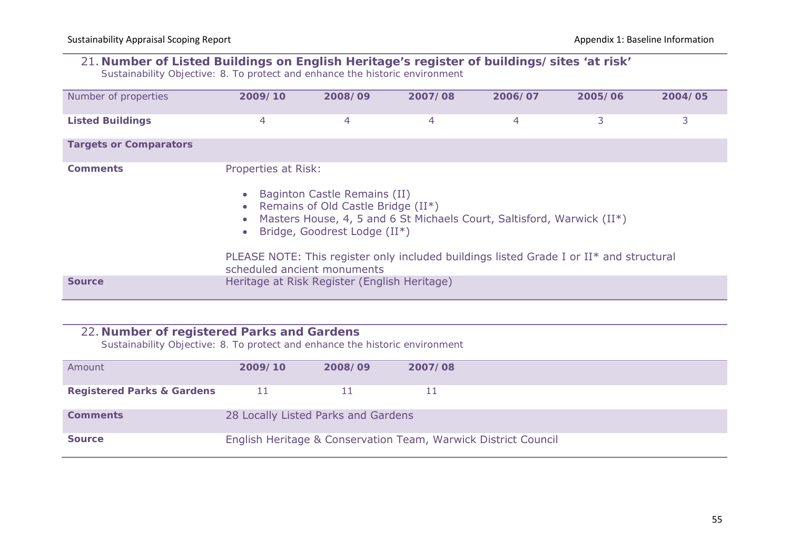## 21. **Number of Listed Buildings on English Heritage's register of buildings/sites 'at risk'**

*Sustainability Objective: 8. To protect and enhance the historic environment*

| Number of properties          | 2009/10                                                                      | 2008/09                                                                                            | 2007/08 | 2006/07                                                                                                                                                           | 2005/06 | 2004/05 |
|-------------------------------|------------------------------------------------------------------------------|----------------------------------------------------------------------------------------------------|---------|-------------------------------------------------------------------------------------------------------------------------------------------------------------------|---------|---------|
| <b>Listed Buildings</b>       | 4                                                                            | 4                                                                                                  | 4       | 4                                                                                                                                                                 | 3       | 3       |
| <b>Targets or Comparators</b> |                                                                              |                                                                                                    |         |                                                                                                                                                                   |         |         |
| <b>Comments</b>               | Properties at Risk:<br>$\bullet$<br>$\bullet$<br>scheduled ancient monuments | Baginton Castle Remains (II)<br>Remains of Old Castle Bridge (II*)<br>Bridge, Goodrest Lodge (II*) |         | Masters House, 4, 5 and 6 St Michaels Court, Saltisford, Warwick (II*)<br>PLEASE NOTE: This register only included buildings listed Grade I or II* and structural |         |         |
| <b>Source</b>                 |                                                                              | Heritage at Risk Register (English Heritage)                                                       |         |                                                                                                                                                                   |         |         |

#### 22. **Number of registered Parks and Gardens**

*Sustainability Objective: 8. To protect and enhance the historic environment*

| Amount                                | 2009/10 | 2008/09                             | 2007/08                                                        |  |
|---------------------------------------|---------|-------------------------------------|----------------------------------------------------------------|--|
|                                       |         |                                     |                                                                |  |
| <b>Registered Parks &amp; Gardens</b> | - 11    |                                     |                                                                |  |
|                                       |         |                                     |                                                                |  |
| <b>Comments</b>                       |         | 28 Locally Listed Parks and Gardens |                                                                |  |
|                                       |         |                                     |                                                                |  |
| <b>Source</b>                         |         |                                     | English Heritage & Conservation Team, Warwick District Council |  |
|                                       |         |                                     |                                                                |  |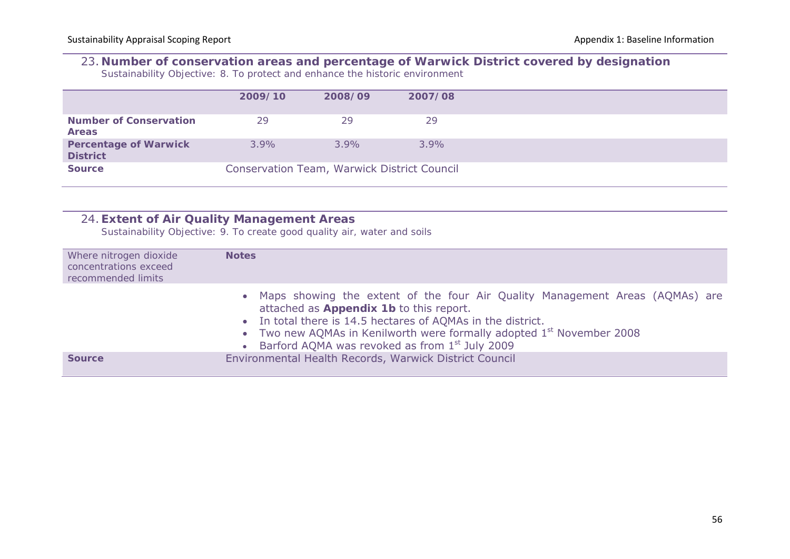## 23. **Number of conservation areas and percentage of Warwick District covered by designation**

*Sustainability Objective: 8. To protect and enhance the historic environment*

|                                                 | 2009/10 | 2008/09                                     | 2007/08 |
|-------------------------------------------------|---------|---------------------------------------------|---------|
| <b>Number of Conservation</b><br><b>Areas</b>   | 29      | 29                                          | 29      |
| <b>Percentage of Warwick</b><br><b>District</b> | $3.9\%$ | $3.9\%$                                     | $3.9\%$ |
| <b>Source</b>                                   |         | Conservation Team, Warwick District Council |         |

|                                                                       | 24. Extent of Air Quality Management Areas<br>Sustainability Objective: 9. To create good quality air, water and soils                                                                                                                                                                                                                                   |
|-----------------------------------------------------------------------|----------------------------------------------------------------------------------------------------------------------------------------------------------------------------------------------------------------------------------------------------------------------------------------------------------------------------------------------------------|
| Where nitrogen dioxide<br>concentrations exceed<br>recommended limits | <b>Notes</b>                                                                                                                                                                                                                                                                                                                                             |
|                                                                       | • Maps showing the extent of the four Air Quality Management Areas (AQMAs) are<br>attached as Appendix 1b to this report.<br>• In total there is 14.5 hectares of AQMAs in the district.<br>• Two new AQMAs in Kenilworth were formally adopted 1 <sup>st</sup> November 2008<br>Barford AQMA was revoked as from 1 <sup>st</sup> July 2009<br>$\bullet$ |
| <b>Source</b>                                                         | Environmental Health Records, Warwick District Council                                                                                                                                                                                                                                                                                                   |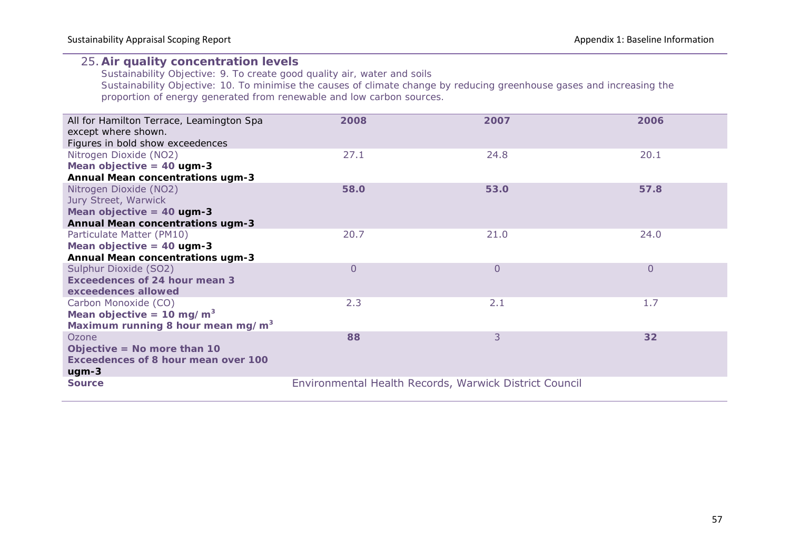#### 25. **Air quality concentration levels**

*Sustainability Objective: 9. To create good quality air, water and soils Sustainability Objective: 10. To minimise the causes of climate change by reducing greenhouse gases and increasing the proportion of energy generated from renewable and low carbon sources.*

| All for Hamilton Terrace, Leamington Spa<br>except where shown. | 2008           | 2007                                                   | 2006           |
|-----------------------------------------------------------------|----------------|--------------------------------------------------------|----------------|
| Figures in bold show exceedences                                |                |                                                        |                |
| Nitrogen Dioxide (NO2)                                          | 27.1           | 24.8                                                   | 20.1           |
| Mean objective = $40$ ugm-3                                     |                |                                                        |                |
| <b>Annual Mean concentrations ugm-3</b>                         |                |                                                        |                |
| Nitrogen Dioxide (NO2)                                          | 58.0           | 53.0                                                   | 57.8           |
| Jury Street, Warwick                                            |                |                                                        |                |
| Mean objective $=$ 40 ugm-3                                     |                |                                                        |                |
| <b>Annual Mean concentrations ugm-3</b>                         |                |                                                        |                |
| Particulate Matter (PM10)                                       | 20.7           | 21.0                                                   | 24.0           |
| Mean objective $=$ 40 ugm-3                                     |                |                                                        |                |
| <b>Annual Mean concentrations ugm-3</b>                         |                |                                                        |                |
| Sulphur Dioxide (SO2)                                           | $\overline{0}$ | $\Omega$                                               | $\overline{0}$ |
| Exceedences of 24 hour mean 3                                   |                |                                                        |                |
| exceedences allowed                                             |                |                                                        |                |
| Carbon Monoxide (CO)                                            | 2.3            | 2.1                                                    | 1.7            |
| Mean objective = $10 \text{ mg/m}^3$                            |                |                                                        |                |
| Maximum running 8 hour mean mg/m <sup>3</sup>                   |                |                                                        |                |
| Ozone                                                           | 88             | 3                                                      | 32             |
| Objective = No more than $10$                                   |                |                                                        |                |
| Exceedences of 8 hour mean over 100                             |                |                                                        |                |
| $ugm-3$                                                         |                |                                                        |                |
| <b>Source</b>                                                   |                | Environmental Health Records, Warwick District Council |                |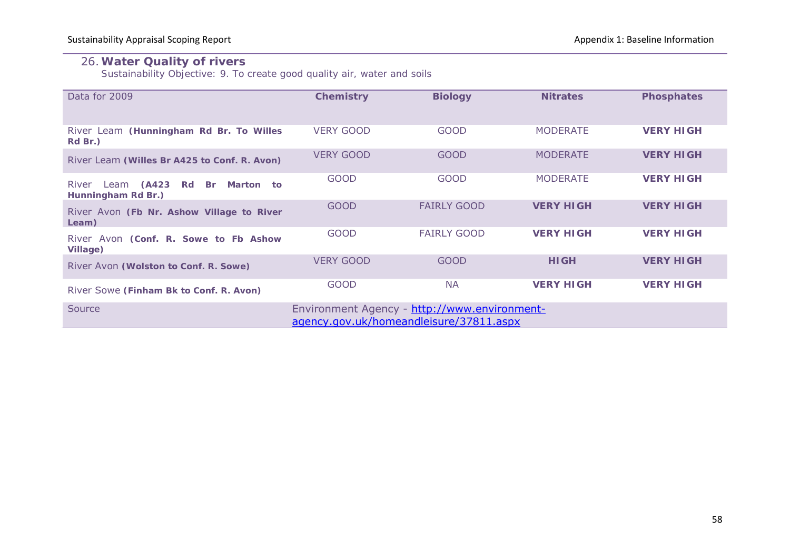#### 26.**Water Quality of rivers**

*Sustainability Objective: 9. To create good quality air, water and soils*

| Data for 2009                                                                                     | <b>Chemistry</b> | <b>Biology</b>     | <b>Nitrates</b>  | <b>Phosphates</b> |  |  |  |
|---------------------------------------------------------------------------------------------------|------------------|--------------------|------------------|-------------------|--|--|--|
| River Leam (Hunningham Rd Br. To Willes<br>Rd Br.)                                                | <b>VERY GOOD</b> | <b>GOOD</b>        | <b>MODERATE</b>  | <b>VERY HIGH</b>  |  |  |  |
| River Leam (Willes Br A425 to Conf. R. Avon)                                                      | <b>VERY GOOD</b> | <b>GOOD</b>        | <b>MODERATE</b>  | <b>VERY HIGH</b>  |  |  |  |
| Leam (A423 Rd<br>River<br>Br<br>Marton to<br>Hunningham Rd Br.)                                   | <b>GOOD</b>      | <b>GOOD</b>        | <b>MODERATE</b>  | <b>VERY HIGH</b>  |  |  |  |
| River Avon (Fb Nr. Ashow Village to River<br>Leam)                                                | <b>GOOD</b>      | <b>FAIRLY GOOD</b> | <b>VERY HIGH</b> | <b>VERY HIGH</b>  |  |  |  |
| River Avon (Conf. R. Sowe to Fb Ashow<br><b>Village)</b>                                          | <b>GOOD</b>      | <b>FAIRLY GOOD</b> | <b>VERY HIGH</b> | <b>VERY HIGH</b>  |  |  |  |
| River Avon (Wolston to Conf. R. Sowe)                                                             | <b>VERY GOOD</b> | <b>GOOD</b>        | <b>HIGH</b>      | <b>VERY HIGH</b>  |  |  |  |
| River Sowe (Finham Bk to Conf. R. Avon)                                                           | <b>GOOD</b>      | <b>NA</b>          | <b>VERY HIGH</b> | <b>VERY HIGH</b>  |  |  |  |
| Source<br>Environment Agency - http://www.environment-<br>agency.gov.uk/homeandleisure/37811.aspx |                  |                    |                  |                   |  |  |  |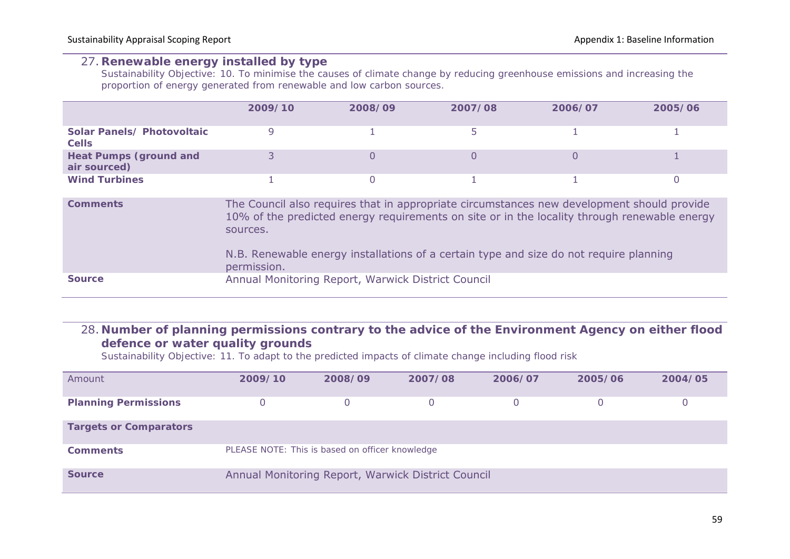#### 27. **Renewable energy installed by type**

*Sustainability Objective: 10. To minimise the causes of climate change by reducing greenhouse emissions and increasing the proportion of energy generated from renewable and low carbon sources.*

|                                               | 2009/10 | 2008/09 | 2007/08 | 2006/07 | 2005/06 |
|-----------------------------------------------|---------|---------|---------|---------|---------|
| Solar Panels/ Photovoltaic<br><b>Cells</b>    |         |         |         |         |         |
| <b>Heat Pumps (ground and</b><br>air sourced) |         |         |         |         |         |
| <b>Wind Turbines</b>                          |         |         |         |         |         |

| <b>Comments</b> | The Council also requires that in appropriate circumstances new development should provide<br>10% of the predicted energy requirements on site or in the locality through renewable energy<br>sources.<br>N.B. Renewable energy installations of a certain type and size do not require planning<br>permission. |
|-----------------|-----------------------------------------------------------------------------------------------------------------------------------------------------------------------------------------------------------------------------------------------------------------------------------------------------------------|
| <b>Source</b>   | Annual Monitoring Report, Warwick District Council                                                                                                                                                                                                                                                              |

## 28. **Number of planning permissions contrary to the advice of the Environment Agency on either flood defence or water quality grounds**

*Sustainability Objective: 11. To adapt to the predicted impacts of climate change including flood risk*

| Amount                        | 2009/10 | 2008/09                                         | 2007/08                                            | 2006/07 | 2005/06 | 2004/05 |
|-------------------------------|---------|-------------------------------------------------|----------------------------------------------------|---------|---------|---------|
| <b>Planning Permissions</b>   | 0       |                                                 |                                                    |         |         | 0       |
| <b>Targets or Comparators</b> |         |                                                 |                                                    |         |         |         |
| <b>Comments</b>               |         | PLEASE NOTE: This is based on officer knowledge |                                                    |         |         |         |
| <b>Source</b>                 |         |                                                 | Annual Monitoring Report, Warwick District Council |         |         |         |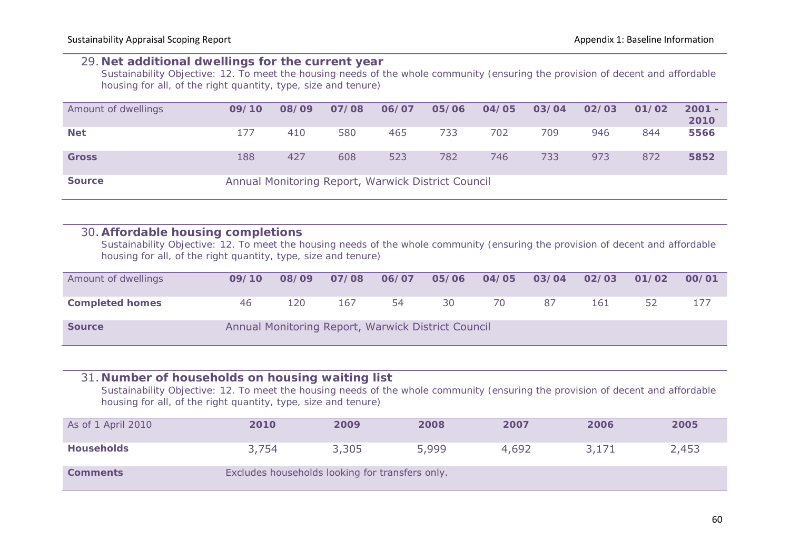#### 29. **Net additional dwellings for the current year**

*Sustainability Objective: 12. To meet the housing needs of the whole community (ensuring the provision of decent and affordable housing for all, of the right quantity, type, size and tenure)*

| Amount of dwellings | 09/10 | 08/09 | 07/08                                              | 06/07 | 05/06 | 04/05 | 03/04 | 02/03 | 01/02 | $2001 -$<br>2010 |
|---------------------|-------|-------|----------------------------------------------------|-------|-------|-------|-------|-------|-------|------------------|
| <b>Net</b>          | 177   | 410   | 580                                                | 465   | 733   | 702   | 709   | 946   | 844   | 5566             |
| <b>Gross</b>        | 188   | 427   | 608                                                | 523   | 782   | 746   | 733   | 973   | 872   | 5852             |
| <b>Source</b>       |       |       | Annual Monitoring Report, Warwick District Council |       |       |       |       |       |       |                  |

#### 30. **Affordable housing completions**

*Sustainability Objective: 12. To meet the housing needs of the whole community (ensuring the provision of decent and affordable housing for all, of the right quantity, type, size and tenure)*

| Amount of dwellings    | 09/10 | 08/09 | 07/08 | 06/07 | 05/06                                              | 04/05 | 03/04 | 02/03 | 01/02 | 00/01 |
|------------------------|-------|-------|-------|-------|----------------------------------------------------|-------|-------|-------|-------|-------|
| <b>Completed homes</b> | 46    | 120   | 167   | 54    | 30                                                 | 70    | 87    | 161   | 52    |       |
| <b>Source</b>          |       |       |       |       | Annual Monitoring Report, Warwick District Council |       |       |       |       |       |

#### 31. **Number of households on housing waiting list**

*Sustainability Objective: 12. To meet the housing needs of the whole community (ensuring the provision of decent and affordable housing for all, of the right quantity, type, size and tenure)*

| As of 1 April 2010 | 2010                                            | 2009  | 2008  | 2007  | 2006  | 2005  |
|--------------------|-------------------------------------------------|-------|-------|-------|-------|-------|
| <b>Households</b>  | 3,754                                           | 3,305 | 5,999 | 4,692 | 3,171 | 2,453 |
| <b>Comments</b>    | Excludes households looking for transfers only. |       |       |       |       |       |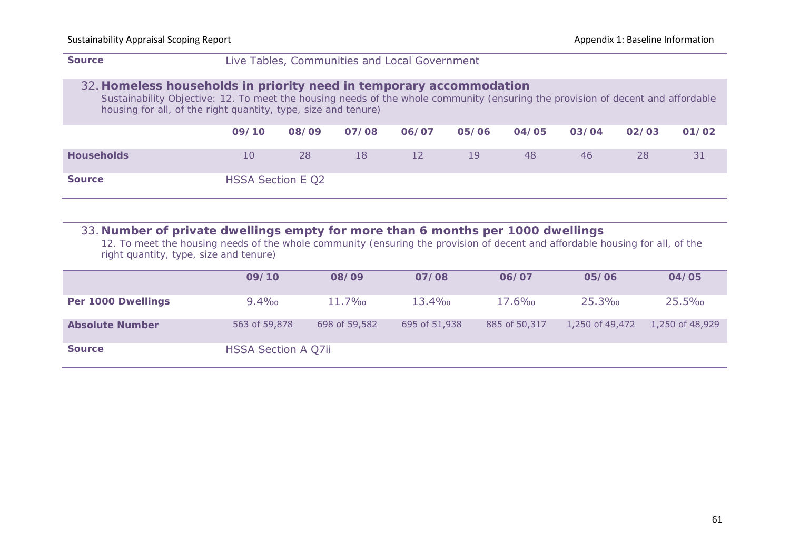#### **Source** Live Tables, Communities and Local Government

#### 32. **Homeless households in priority need in temporary accommodation**

*Sustainability Objective: 12. To meet the housing needs of the whole community (ensuring the provision of decent and affordable housing for all, of the right quantity, type, size and tenure)*

|                   | 09/10             | 08/09 | 07/08 | 06/07 | 05/06 | 04/05 | 03/04 | 02/03 | 01/02 |
|-------------------|-------------------|-------|-------|-------|-------|-------|-------|-------|-------|
| <b>Households</b> | 10                | 28    | 18    | 12    | 19    | 48    | 46    | 28    | 31    |
| <b>Source</b>     | HSSA Section E Q2 |       |       |       |       |       |       |       |       |

#### 33. **Number of private dwellings empty for more than 6 months per 1000 dwellings**

*12. To meet the housing needs of the whole community (ensuring the provision of decent and affordable housing for all, of the right quantity, type, size and tenure)*

|                        | 09/10               | 08/09         | 07/08         | 06/07         | 05/06           | 04/05           |
|------------------------|---------------------|---------------|---------------|---------------|-----------------|-----------------|
| Per 1000 Dwellings     | $9.4\%$             | $11.7\%$      | $13.4\%$      | $17.6\%$      | 25.3%           | 25.5%           |
| <b>Absolute Number</b> | 563 of 59,878       | 698 of 59,582 | 695 of 51,938 | 885 of 50,317 | 1,250 of 49,472 | 1,250 of 48,929 |
| <b>Source</b>          | HSSA Section A Q7ii |               |               |               |                 |                 |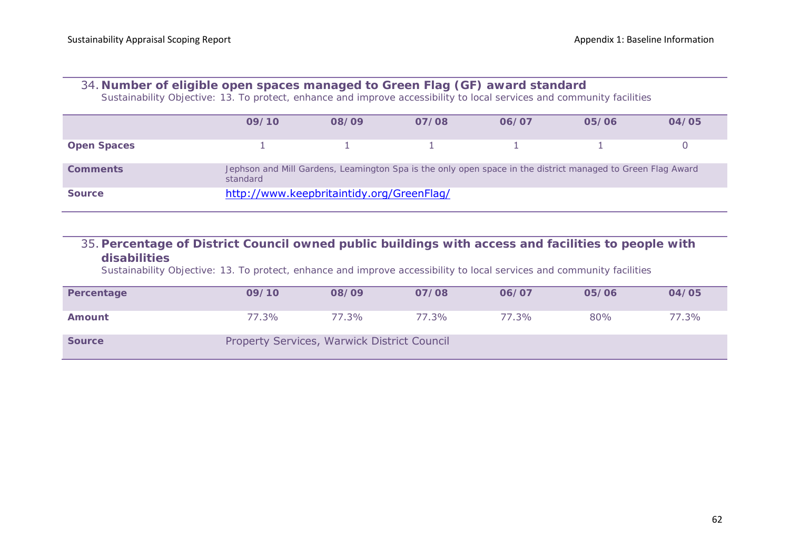#### 34. **Number of eligible open spaces managed to Green Flag (GF) award standard**

*Sustainability Objective: 13. To protect, enhance and improve accessibility to local services and community facilities*

|                    | 09/10                                     | 08/09 | 07/08                                                                                                       | 06/07 | 05/06 | 04/05 |
|--------------------|-------------------------------------------|-------|-------------------------------------------------------------------------------------------------------------|-------|-------|-------|
| <b>Open Spaces</b> |                                           |       |                                                                                                             |       |       |       |
| <b>Comments</b>    | standard                                  |       | Jephson and Mill Gardens, Leamington Spa is the only open space in the district managed to Green Flag Award |       |       |       |
| <b>Source</b>      | http://www.keepbritaintidy.org/GreenFlag/ |       |                                                                                                             |       |       |       |

## 35. **Percentage of District Council owned public buildings with access and facilities to people with disabilities**

*Sustainability Objective: 13. To protect, enhance and improve accessibility to local services and community facilities*

| Percentage    | 09/10                                       | 08/09 | 07/08 | 06/07 | 05/06 | 04/05 |
|---------------|---------------------------------------------|-------|-------|-------|-------|-------|
| Amount        | 77.3%                                       | 77.3% | 77.3% | 77.3% | 80%   | 77.3% |
| <b>Source</b> | Property Services, Warwick District Council |       |       |       |       |       |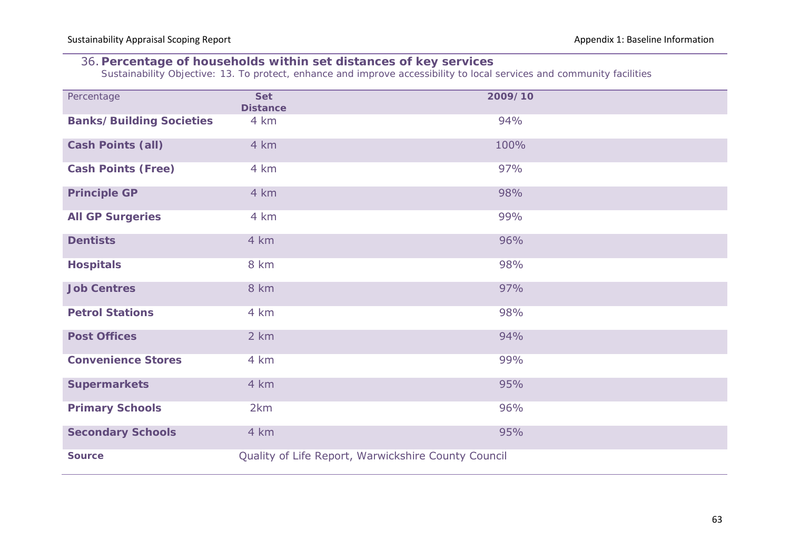## 36. **Percentage of households within set distances of key services**

*Sustainability Objective: 13. To protect, enhance and improve accessibility to local services and community facilities*

| Percentage                      | <b>Set</b><br><b>Distance</b> | 2009/10                                             |
|---------------------------------|-------------------------------|-----------------------------------------------------|
| <b>Banks/Building Societies</b> | 4 km                          | 94%                                                 |
| <b>Cash Points (all)</b>        | 4 km                          | 100%                                                |
| <b>Cash Points (Free)</b>       | 4 km                          | 97%                                                 |
| <b>Principle GP</b>             | 4 km                          | 98%                                                 |
| <b>All GP Surgeries</b>         | 4 km                          | 99%                                                 |
| <b>Dentists</b>                 | 4 km                          | 96%                                                 |
| <b>Hospitals</b>                | 8 km                          | 98%                                                 |
| <b>Job Centres</b>              | 8 km                          | 97%                                                 |
| <b>Petrol Stations</b>          | 4 km                          | 98%                                                 |
| <b>Post Offices</b>             | 2 km                          | 94%                                                 |
| <b>Convenience Stores</b>       | 4 km                          | 99%                                                 |
| <b>Supermarkets</b>             | 4 km                          | 95%                                                 |
| <b>Primary Schools</b>          | 2km                           | 96%                                                 |
| <b>Secondary Schools</b>        | 4 km                          | 95%                                                 |
| <b>Source</b>                   |                               | Quality of Life Report, Warwickshire County Council |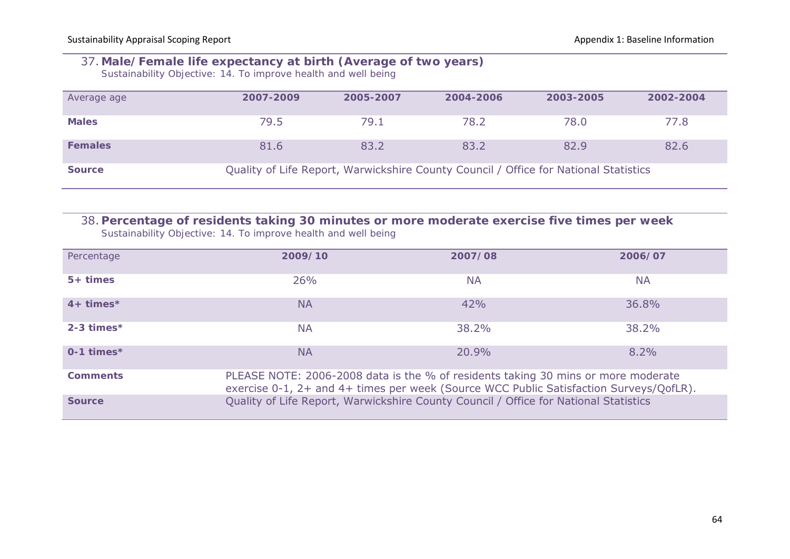### 37. **Male/Female life expectancy at birth (Average of two years)**

*Sustainability Objective: 14. To improve health and well being*

| Average age    | 2007-2009 | 2005-2007 | 2004-2006                                                                            | 2003-2005 | 2002-2004 |
|----------------|-----------|-----------|--------------------------------------------------------------------------------------|-----------|-----------|
| <b>Males</b>   | 79.5      | 79.1      | 78.2                                                                                 | 78.0      | 77.8      |
| <b>Females</b> | 81.6      | 83.2      | 83.2                                                                                 | 82.9      | 82.6      |
| <b>Source</b>  |           |           | Quality of Life Report, Warwickshire County Council / Office for National Statistics |           |           |

# 38. **Percentage of residents taking 30 minutes or more moderate exercise five times per week**

*Sustainability Objective: 14. To improve health and well being*

| Percentage               | 2009/10                                                                                                                                                                     | 2007/08   | 2006/07   |
|--------------------------|-----------------------------------------------------------------------------------------------------------------------------------------------------------------------------|-----------|-----------|
| $5+ times$               | 26%                                                                                                                                                                         | <b>NA</b> | <b>NA</b> |
| $4+ times*$              | <b>NA</b>                                                                                                                                                                   | 42%       | 36.8%     |
| $2 - 3$ times*           | <b>NA</b>                                                                                                                                                                   | 38.2%     | 38.2%     |
| $0-1$ times <sup>*</sup> | <b>NA</b>                                                                                                                                                                   | 20.9%     | $8.2\%$   |
| <b>Comments</b>          | PLEASE NOTE: 2006-2008 data is the % of residents taking 30 mins or more moderate<br>exercise 0-1, 2+ and 4+ times per week (Source WCC Public Satisfaction Surveys/QofLR). |           |           |
| <b>Source</b>            | Quality of Life Report, Warwickshire County Council / Office for National Statistics                                                                                        |           |           |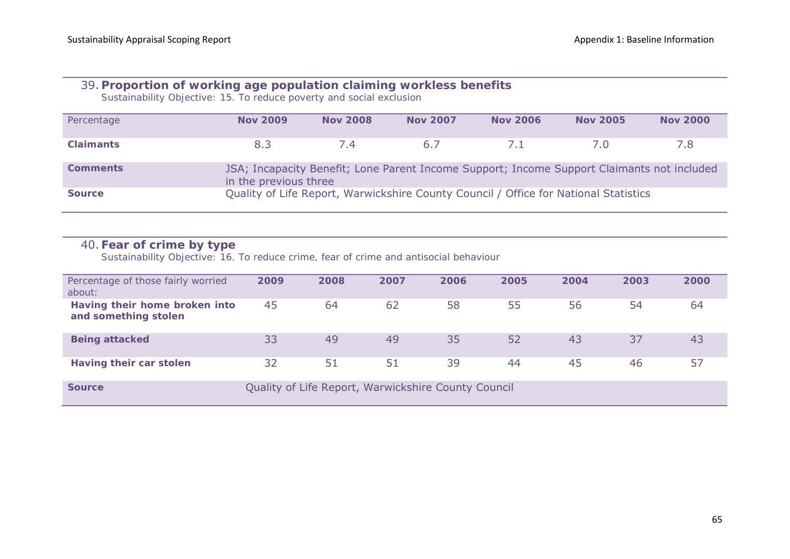## 39. **Proportion of working age population claiming workless benefits**

*Sustainability Objective: 15. To reduce poverty and social exclusion*

| Percentage       | <b>Nov 2009</b>       | <b>Nov 2008</b> | <b>Nov 2007</b>                                                                            | <b>Nov 2006</b> | <b>Nov 2005</b> | <b>Nov 2000</b> |
|------------------|-----------------------|-----------------|--------------------------------------------------------------------------------------------|-----------------|-----------------|-----------------|
|                  |                       |                 |                                                                                            |                 |                 |                 |
| <b>Claimants</b> | 8.3                   | 7.4             | 6.7                                                                                        | $\sqrt{1}$      | $\sqrt{0}$      | 7.8             |
|                  |                       |                 |                                                                                            |                 |                 |                 |
| <b>Comments</b>  |                       |                 | JSA; Incapacity Benefit; Lone Parent Income Support; Income Support Claimants not included |                 |                 |                 |
|                  |                       |                 |                                                                                            |                 |                 |                 |
|                  | in the previous three |                 |                                                                                            |                 |                 |                 |
| <b>Source</b>    |                       |                 | Quality of Life Report, Warwickshire County Council / Office for National Statistics       |                 |                 |                 |
|                  |                       |                 |                                                                                            |                 |                 |                 |
|                  |                       |                 |                                                                                            |                 |                 |                 |

## 40. **Fear of crime by type**

*Sustainability Objective: 16. To reduce crime, fear of crime and antisocial behaviour*

| Percentage of those fairly worried<br>about:          | 2009 | 2008 | 2007 | 2006 | 2005 | 2004 | 2003 | 2000 |
|-------------------------------------------------------|------|------|------|------|------|------|------|------|
| Having their home broken into<br>and something stolen | 45   | 64   | 62   | 58   | 55   | 56   | 54   | 64   |
| <b>Being attacked</b>                                 | 33   | 49   | 49   | 35   | 52   | 43   | 37   | 43   |
| Having their car stolen                               | 32   | 51   | 51   | 39   | 44   | 45   | 46   | 57   |

**Source Source Council Quality of Life Report, Warwickshire County Council**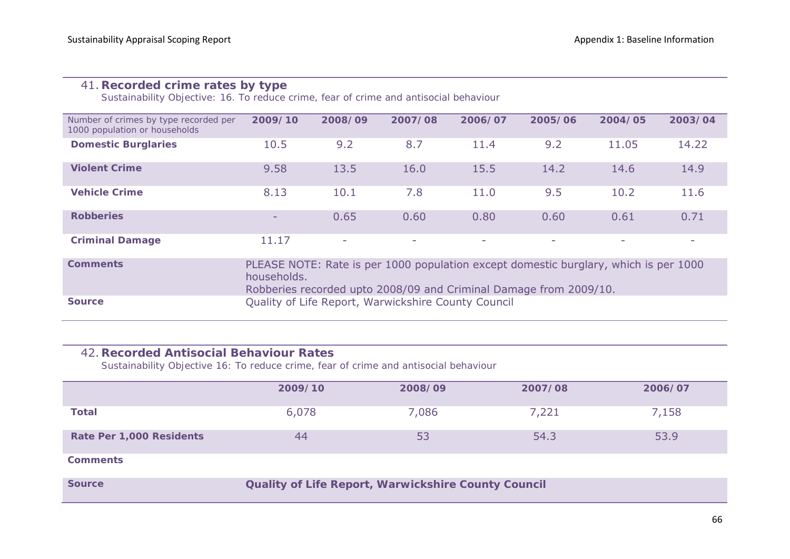## 41. **Recorded crime rates by type**

*Sustainability Objective: 16. To reduce crime, fear of crime and antisocial behaviour*

| Number of crimes by type recorded per<br>1000 population or households | 2009/10                                                                                                                                                                  | 2008/09 | 2007/08                                             | 2006/07 | 2005/06 | 2004/05 | 2003/04 |  |  |
|------------------------------------------------------------------------|--------------------------------------------------------------------------------------------------------------------------------------------------------------------------|---------|-----------------------------------------------------|---------|---------|---------|---------|--|--|
| <b>Domestic Burglaries</b>                                             | 10.5                                                                                                                                                                     | 9.2     | 8.7                                                 | 11.4    | 9.2     | 11.05   | 14.22   |  |  |
| <b>Violent Crime</b>                                                   | 9.58                                                                                                                                                                     | 13.5    | 16.0                                                | 15.5    | 14.2    | 14.6    | 14.9    |  |  |
| <b>Vehicle Crime</b>                                                   | 8.13                                                                                                                                                                     | 10.1    | 7.8                                                 | 11.0    | 9.5     | 10.2    | 11.6    |  |  |
| <b>Robberies</b>                                                       | -                                                                                                                                                                        | 0.65    | 0.60                                                | 0.80    | 0.60    | 0.61    | 0.71    |  |  |
| <b>Criminal Damage</b>                                                 | 11.17                                                                                                                                                                    | $\sim$  | ٠                                                   | -       | ۰       | ۰       |         |  |  |
| <b>Comments</b>                                                        | PLEASE NOTE: Rate is per 1000 population except domestic burglary, which is per 1000<br>households.<br>Robberies recorded upto 2008/09 and Criminal Damage from 2009/10. |         |                                                     |         |         |         |         |  |  |
| <b>Source</b>                                                          |                                                                                                                                                                          |         | Quality of Life Report, Warwickshire County Council |         |         |         |         |  |  |

#### 42. **Recorded Antisocial Behaviour Rates**

*Sustainability Objective 16: To reduce crime, fear of crime and antisocial behaviour*

|                          | 2009/10 | 2008/09                                                    | 2007/08 | 2006/07 |  |  |  |  |  |  |
|--------------------------|---------|------------------------------------------------------------|---------|---------|--|--|--|--|--|--|
| <b>Total</b>             | 6,078   | 7,086                                                      | 7,221   | 7,158   |  |  |  |  |  |  |
| Rate Per 1,000 Residents | 44      | 53                                                         | 54.3    | 53.9    |  |  |  |  |  |  |
| <b>Comments</b>          |         |                                                            |         |         |  |  |  |  |  |  |
| <b>Source</b>            |         | <b>Quality of Life Report, Warwickshire County Council</b> |         |         |  |  |  |  |  |  |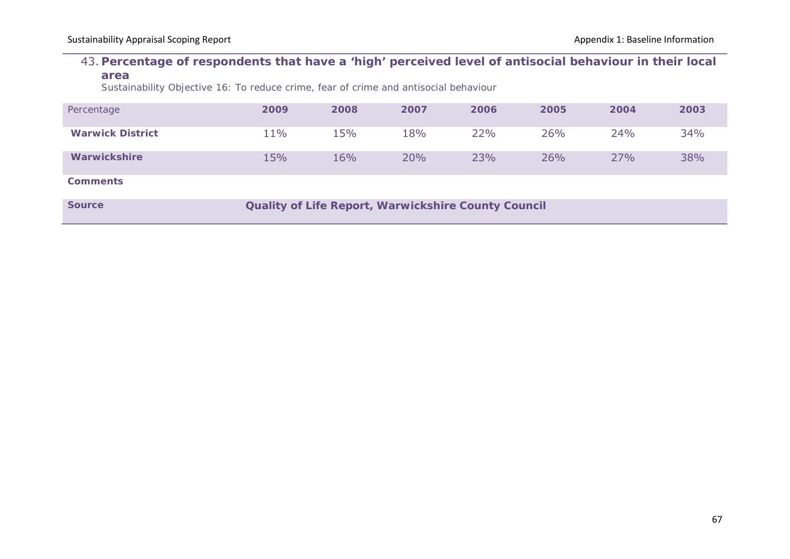#### 43. **Percentage of respondents that have a 'high' perceived level of antisocial behaviour in their local area**

*Sustainability Objective 16: To reduce crime, fear of crime and antisocial behaviour*

| Percentage              | 2009 | 2008 | 2007 | 2006 | 2005 | 2004 | 2003 |
|-------------------------|------|------|------|------|------|------|------|
| <b>Warwick District</b> | 11%  | 15%  | 18%  | 22%  | 26%  | 24%  | 34%  |
| Warwickshire            | 15%  | 16%  | 20%  | 23%  | 26%  | 27%  | 38%  |
| <b>Comments</b>         |      |      |      |      |      |      |      |

**Source <b>COULTERE** COULD COULD COUNTER COUNTS COUNTS COUNTS COUNTS COUNTS COUNTS COUNTS COUNTS COUNTS COUNTS COUNTS COUNTS COUNTS COUNTS COUNTS COUNTS COUNTS COUNTS COUNTS COUNTS COUNTS COUNTS COUNTS COUNTS COUNTS COUNTS C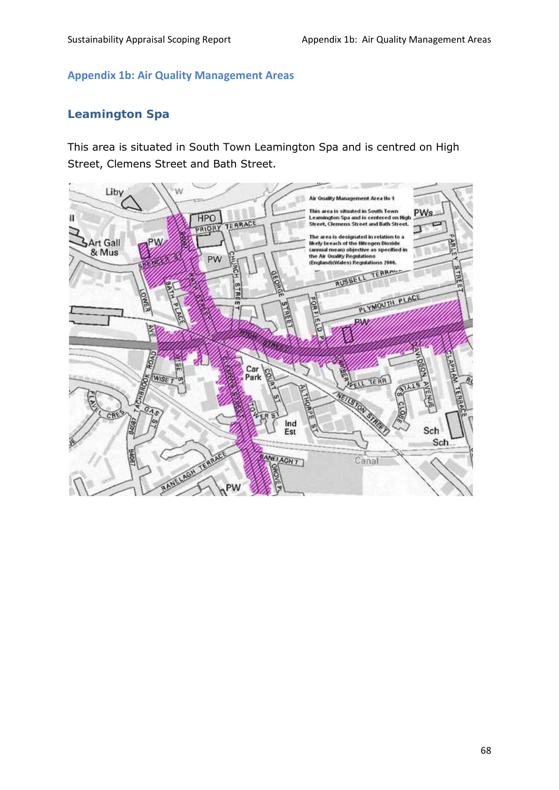#### **Appendix 1b: Air Quality Management Areas**

## **Leamington Spa**

This area is situated in South Town Leamington Spa and is centred on High Street, Clemens Street and Bath Street.

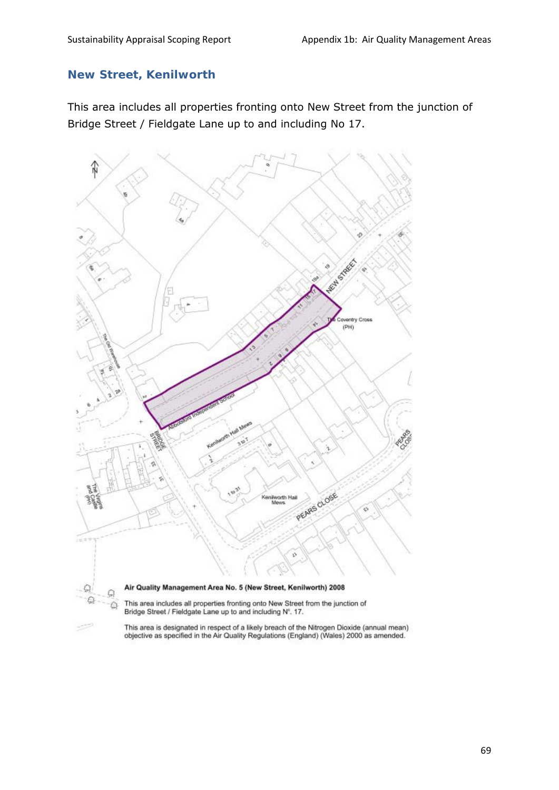## **New Street, Kenilworth**

This area includes all properties fronting onto New Street from the junction of Bridge Street / Fieldgate Lane up to and including No 17.



This area is designated in respect of a likely breach of the Nitrogen Dioxide (annual mean)<br>objective as specified in the Air Quality Regulations (England) (Wales) 2000 as amended.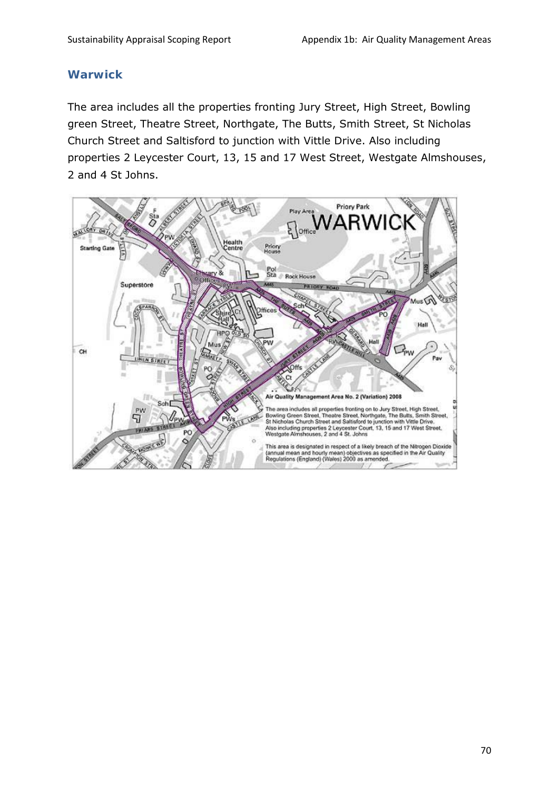#### **Warwick**

The area includes all the properties fronting Jury Street, High Street, Bowling green Street, Theatre Street, Northgate, The Butts, Smith Street, St Nicholas Church Street and Saltisford to junction with Vittle Drive. Also including properties 2 Leycester Court, 13, 15 and 17 West Street, Westgate Almshouses, 2 and 4 St Johns.